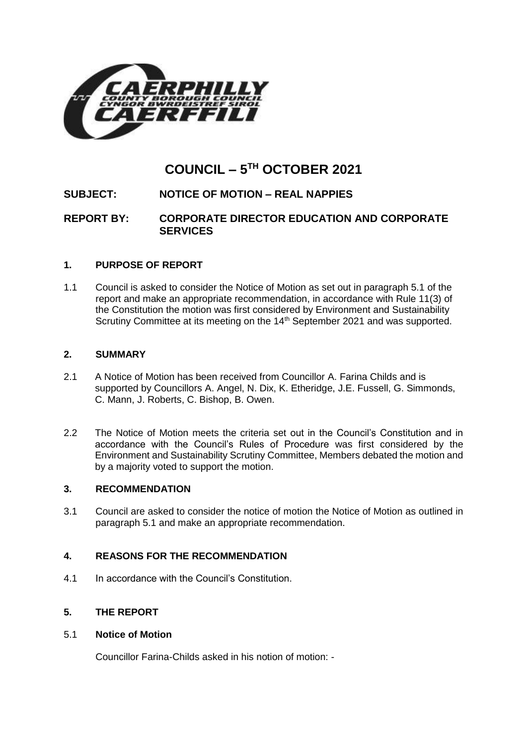

# **COUNCIL – 5 TH OCTOBER 2021**

## **SUBJECT: NOTICE OF MOTION – REAL NAPPIES**

**REPORT BY: CORPORATE DIRECTOR EDUCATION AND CORPORATE SERVICES**

## **1. PURPOSE OF REPORT**

1.1 Council is asked to consider the Notice of Motion as set out in paragraph 5.1 of the report and make an appropriate recommendation, in accordance with Rule 11(3) of the Constitution the motion was first considered by Environment and Sustainability Scrutiny Committee at its meeting on the 14<sup>th</sup> September 2021 and was supported.

## **2. SUMMARY**

- 2.1 A Notice of Motion has been received from Councillor A. Farina Childs and is supported by Councillors A. Angel, N. Dix, K. Etheridge, J.E. Fussell, G. Simmonds, C. Mann, J. Roberts, C. Bishop, B. Owen.
- 2.2 The Notice of Motion meets the criteria set out in the Council's Constitution and in accordance with the Council's Rules of Procedure was first considered by the Environment and Sustainability Scrutiny Committee, Members debated the motion and by a majority voted to support the motion.

## **3. RECOMMENDATION**

3.1 Council are asked to consider the notice of motion the Notice of Motion as outlined in paragraph 5.1 and make an appropriate recommendation.

## **4. REASONS FOR THE RECOMMENDATION**

4.1 In accordance with the Council's Constitution.

## **5. THE REPORT**

## 5.1 **Notice of Motion**

Councillor Farina-Childs asked in his notion of motion: -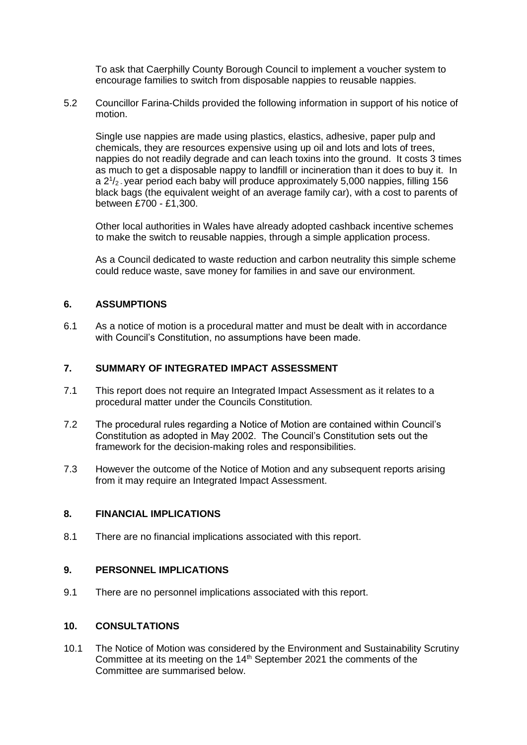To ask that Caerphilly County Borough Council to implement a voucher system to encourage families to switch from disposable nappies to reusable nappies.

5.2 Councillor Farina-Childs provided the following information in support of his notice of motion.

Single use nappies are made using plastics, elastics, adhesive, paper pulp and chemicals, they are resources expensive using up oil and lots and lots of trees, nappies do not readily degrade and can leach toxins into the ground. It costs 3 times as much to get a disposable nappy to landfill or incineration than it does to buy it. In a  $2^{1}/_{2}$  year period each baby will produce approximately 5,000 nappies, filling 156 black bags (the equivalent weight of an average family car), with a cost to parents of between £700 - £1,300.

Other local authorities in Wales have already adopted cashback incentive schemes to make the switch to reusable nappies, through a simple application process.

As a Council dedicated to waste reduction and carbon neutrality this simple scheme could reduce waste, save money for families in and save our environment.

#### **6. ASSUMPTIONS**

6.1 As a notice of motion is a procedural matter and must be dealt with in accordance with Council's Constitution, no assumptions have been made.

#### **7. SUMMARY OF INTEGRATED IMPACT ASSESSMENT**

- 7.1 This report does not require an Integrated Impact Assessment as it relates to a procedural matter under the Councils Constitution.
- 7.2 The procedural rules regarding a Notice of Motion are contained within Council's Constitution as adopted in May 2002. The Council's Constitution sets out the framework for the decision-making roles and responsibilities.
- 7.3 However the outcome of the Notice of Motion and any subsequent reports arising from it may require an Integrated Impact Assessment.

#### **8. FINANCIAL IMPLICATIONS**

8.1 There are no financial implications associated with this report.

#### **9. PERSONNEL IMPLICATIONS**

9.1 There are no personnel implications associated with this report.

#### **10. CONSULTATIONS**

10.1 The Notice of Motion was considered by the Environment and Sustainability Scrutiny Committee at its meeting on the 14<sup>th</sup> September 2021 the comments of the Committee are summarised below.